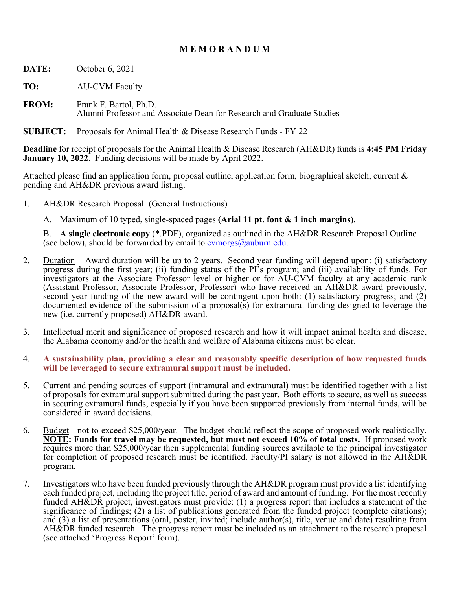## **M E M O R A N D U M**

- **DATE:** October 6, 2021
- **TO:** AU-CVM Faculty
- **FROM:** Frank F. Bartol, Ph.D. Alumni Professor and Associate Dean for Research and Graduate Studies
- **SUBJECT:** Proposals for Animal Health & Disease Research Funds FY 22

**Deadline** for receipt of proposals for the Animal Health & Disease Research (AH&DR) funds is **4:45 PM Friday January 10, 2022**. Funding decisions will be made by April 2022.

Attached please find an application form, proposal outline, application form, biographical sketch, current & pending and AH&DR previous award listing.

- 1. AH&DR Research Proposal: (General Instructions)
	- A. Maximum of 10 typed, single-spaced pages **(Arial 11 pt. font & 1 inch margins).**

 B. **A single electronic copy** (\*.PDF), organized as outlined in the AH&DR Research Proposal Outline (see below), should be forwarded by email to  $\alpha$  comorgs  $\alpha$  auburn.edu.

- 2. Duration Award duration will be up to 2 years. Second year funding will depend upon: (i) satisfactory progress during the first year; (ii) funding status of the PI's program; and (iii) availability of funds. For investigators at the Associate Professor level or higher or for AU-CVM faculty at any academic rank (Assistant Professor, Associate Professor, Professor) who have received an AH&DR award previously, second year funding of the new award will be contingent upon both: (1) satisfactory progress; and (2) documented evidence of the submission of a proposal(s) for extramural funding designed to leverage the new (i.e. currently proposed) AH&DR award.
- 3. Intellectual merit and significance of proposed research and how it will impact animal health and disease, the Alabama economy and/or the health and welfare of Alabama citizens must be clear.
- 4. **A sustainability plan, providing a clear and reasonably specific description of how requested funds will be leveraged to secure extramural support must be included.**
- 5. Current and pending sources of support (intramural and extramural) must be identified together with a list of proposals for extramural support submitted during the past year. Both efforts to secure, as well as success in securing extramural funds, especially if you have been supported previously from internal funds, will be considered in award decisions.
- 6. Budget not to exceed \$25,000/year. The budget should reflect the scope of proposed work realistically. **NOTE: Funds for travel may be requested, but must not exceed 10% of total costs.** If proposed work requires more than \$25,000/year then supplemental funding sources available to the principal investigator for completion of proposed research must be identified. Faculty/PI salary is not allowed in the AH&DR program.
- 7. Investigators who have been funded previously through the AH&DR program must provide a list identifying each funded project, including the project title, period of award and amount of funding. For the most recently funded AH&DR project, investigators must provide: (1) a progress report that includes a statement of the significance of findings; (2) a list of publications generated from the funded project (complete citations); and (3) a list of presentations (oral, poster, invited; include author(s), title, venue and date) resulting from AH&DR funded research. The progress report must be included as an attachment to the research proposal (see attached 'Progress Report' form).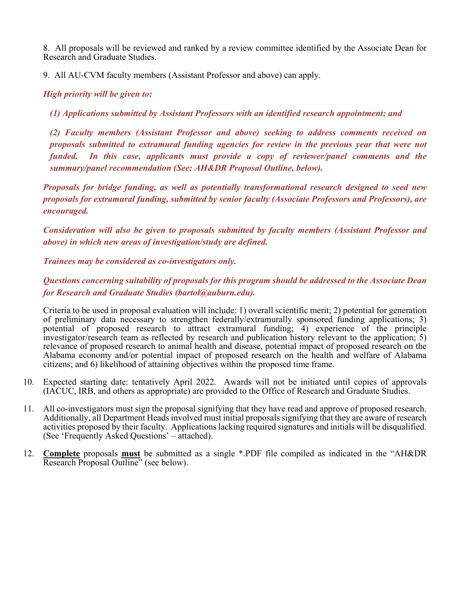8. All proposals will be reviewed and ranked by a review committee identified by the Associate Dean for Research and Graduate Studies.

9. All AU-CVM faculty members (Assistant Professor and above) can apply.

#### *High priority will be given to:*

*(1) Applications submitted by Assistant Professors with an identified research appointment; and* 

*(2) Faculty members (Assistant Professor and above) seeking to address comments received on proposals submitted to extramural funding agencies for review in the previous year that were not funded. In this case, applicants must provide a copy of reviewer/panel comments and the summary/panel recommendation (See: AH&DR Proposal Outline, below).* 

*Proposals for bridge funding, as well as potentially transformational research designed to seed new proposals for extramural funding, submitted by senior faculty (Associate Professors and Professors), are encouraged.* 

*Consideration will also be given to proposals submitted by faculty members (Assistant Professor and above) in which new areas of investigation/study are defined.* 

*Trainees may be considered as co-investigators only.* 

*Questions concerning suitability of proposals for this program should be addressed to the Associate Dean for Research and Graduate Studies (bartol@auburn.edu).* 

Criteria to be used in proposal evaluation will include: 1) overall scientific merit; 2) potential for generation of preliminary data necessary to strengthen federally/extramurally sponsored funding applications; 3) potential of proposed research to attract extramural funding; 4) experience of the principle investigator/research team as reflected by research and publication history relevant to the application; 5) relevance of proposed research to animal health and disease, potential impact of proposed research on the Alabama economy and/or potential impact of proposed research on the health and welfare of Alabama citizens; and 6) likelihood of attaining objectives within the proposed time frame.

- 10. Expected starting date: tentatively April 2022. Awards will not be initiated until copies of approvals (IACUC, IRB, and others as appropriate) are provided to the Office of Research and Graduate Studies.
- 11. All co-investigators must sign the proposal signifying that they have read and approve of proposed research. Additionally, all Department Heads involved must initial proposals signifying that they are aware of research activities proposed by their faculty. Applications lacking required signatures and initials will be disqualified. (See 'Frequently Asked Questions' – attached).
- 12. **Complete** proposals **must** be submitted as a single \*.PDF file compiled as indicated in the "AH&DR Research Proposal Outline" (see below).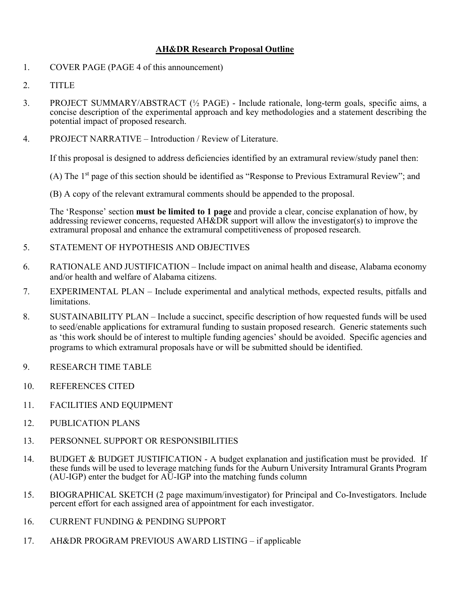#### **AH&DR Research Proposal Outline**

- 1. COVER PAGE (PAGE 4 of this announcement)
- 2. TITLE
- 3. PROJECT SUMMARY/ABSTRACT (½ PAGE) Include rationale, long-term goals, specific aims, a concise description of the experimental approach and key methodologies and a statement describing the potential impact of proposed research.
- 4. PROJECT NARRATIVE Introduction / Review of Literature.

If this proposal is designed to address deficiencies identified by an extramural review/study panel then:

- (A) The 1st page of this section should be identified as "Response to Previous Extramural Review"; and
- (B) A copy of the relevant extramural comments should be appended to the proposal.

The 'Response' section **must be limited to 1 page** and provide a clear, concise explanation of how, by addressing reviewer concerns, requested AH&DR support will allow the investigator(s) to improve the extramural proposal and enhance the extramural competitiveness of proposed research.

- 5. STATEMENT OF HYPOTHESIS AND OBJECTIVES
- 6. RATIONALE AND JUSTIFICATION Include impact on animal health and disease, Alabama economy and/or health and welfare of Alabama citizens.
- 7. EXPERIMENTAL PLAN Include experimental and analytical methods, expected results, pitfalls and limitations.
- 8. SUSTAINABILITY PLAN Include a succinct, specific description of how requested funds will be used to seed/enable applications for extramural funding to sustain proposed research. Generic statements such as 'this work should be of interest to multiple funding agencies' should be avoided. Specific agencies and programs to which extramural proposals have or will be submitted should be identified.
- 9. RESEARCH TIME TABLE
- 10. REFERENCES CITED
- 11. FACILITIES AND EQUIPMENT
- 12. PUBLICATION PLANS
- 13. PERSONNEL SUPPORT OR RESPONSIBILITIES
- 14. BUDGET & BUDGET JUSTIFICATION A budget explanation and justification must be provided. If these funds will be used to leverage matching funds for the Auburn University Intramural Grants Program (AU-IGP) enter the budget for AU-IGP into the matching funds column
- 15. BIOGRAPHICAL SKETCH (2 page maximum/investigator) for Principal and Co-Investigators. Include percent effort for each assigned area of appointment for each investigator.
- 16. CURRENT FUNDING & PENDING SUPPORT
- 17. AH&DR PROGRAM PREVIOUS AWARD LISTING if applicable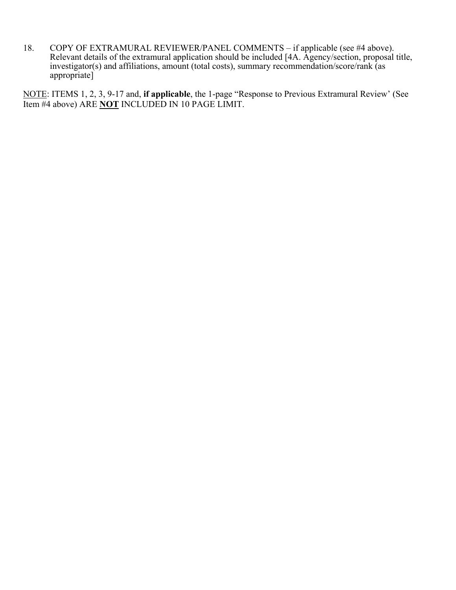18. COPY OF EXTRAMURAL REVIEWER/PANEL COMMENTS – if applicable (see #4 above). Relevant details of the extramural application should be included [4A. Agency/section, proposal title, investigator(s) and affiliations, amount (total costs), summary recommendation/score/rank (as appropriate]

NOTE: ITEMS 1, 2, 3, 9-17 and, **if applicable**, the 1-page "Response to Previous Extramural Review' (See Item #4 above) ARE **NOT** INCLUDED IN 10 PAGE LIMIT.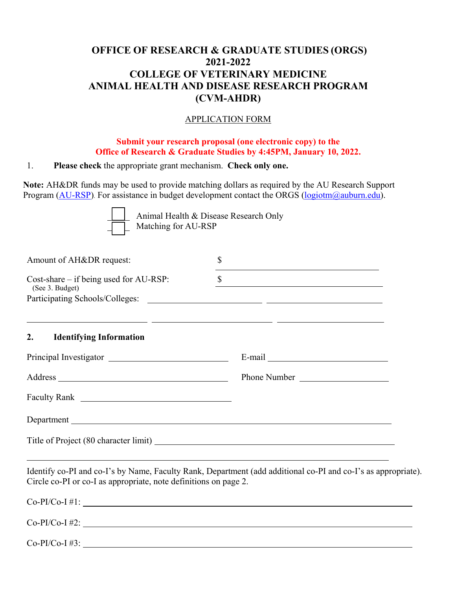# **OFFICE OF RESEARCH & GRADUATE STUDIES (ORGS) 2021-2022 COLLEGE OF VETERINARY MEDICINE ANIMAL HEALTH AND DISEASE RESEARCH PROGRAM (CVM-AHDR)**

#### APPLICATION FORM

#### **Submit your research proposal (one electronic copy) to the Office of Research & Graduate Studies by 4:45PM, January 10, 2022.**

#### 1. **Please check** the appropriate grant mechanism. **Check only one.**

**Note:** AH&DR funds may be used to provide matching dollars as required by the AU Research Support Program (AU-RSP). For assistance in budget development contact the ORGS (logiotm@auburn.edu).



Animal Health & Disease Research Only Matching for AU-RSP

| Amount of AH&DR request:                                                                                                                                                                                                       | \$                                                                                                                          |
|--------------------------------------------------------------------------------------------------------------------------------------------------------------------------------------------------------------------------------|-----------------------------------------------------------------------------------------------------------------------------|
| $Cost\text{-}share\text{-}if being used for AU\text{-}RSP:$<br>(See 3. Budget)                                                                                                                                                 | \$<br><u> 1989 - Johann Barn, mars ann an t-Amhain an t-Amhain an t-Amhain an t-Amhain an t-Amhain an t-Amhain an t-Amh</u> |
| <b>Identifying Information</b><br>2.                                                                                                                                                                                           |                                                                                                                             |
|                                                                                                                                                                                                                                |                                                                                                                             |
|                                                                                                                                                                                                                                | Phone Number                                                                                                                |
|                                                                                                                                                                                                                                |                                                                                                                             |
| Department Legal and Contract Contract Contract Contract Contract Contract Contract Contract Contract Contract Contract Contract Contract Contract Contract Contract Contract Contract Contract Contract Contract Contract Con |                                                                                                                             |
|                                                                                                                                                                                                                                |                                                                                                                             |
| Circle co-PI or co-I as appropriate, note definitions on page 2.                                                                                                                                                               | Identify co-PI and co-I's by Name, Faculty Rank, Department (add additional co-PI and co-I's as appropriate).               |
|                                                                                                                                                                                                                                | $Co-PI/Co-I #1:$                                                                                                            |
| $Co-PI/Co-I #2:$                                                                                                                                                                                                               |                                                                                                                             |

 $Co-PI/Co-I \#3$ :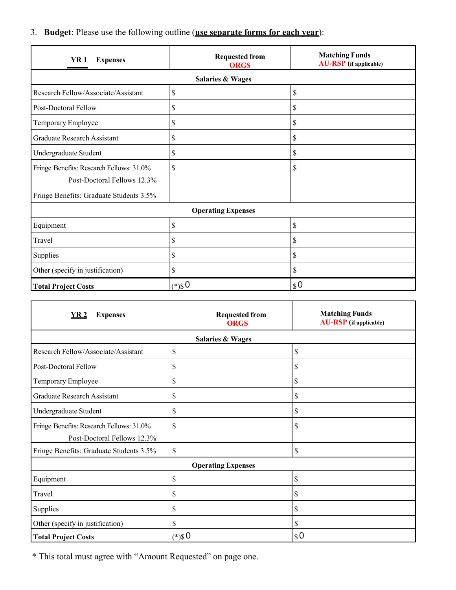3. **Budget**: Please use the following outline (**use separate forms for each year**):

| <b>YR1</b><br><b>Expenses</b>                                           | <b>Requested from</b><br><b>ORGS</b> | <b>Matching Funds</b><br><b>AU-RSP</b> (if applicable) |  |  |  |  |
|-------------------------------------------------------------------------|--------------------------------------|--------------------------------------------------------|--|--|--|--|
|                                                                         | <b>Salaries &amp; Wages</b>          |                                                        |  |  |  |  |
| Research Fellow/Associate/Assistant                                     | \$                                   | \$                                                     |  |  |  |  |
| Post-Doctoral Fellow                                                    | \$                                   | \$                                                     |  |  |  |  |
| Temporary Employee                                                      | \$                                   | \$                                                     |  |  |  |  |
| Graduate Research Assistant                                             | \$                                   | \$                                                     |  |  |  |  |
| Undergraduate Student                                                   | \$                                   | \$                                                     |  |  |  |  |
| Fringe Benefits: Research Fellows: 31.0%<br>Post-Doctoral Fellows 12.3% | \$                                   | \$                                                     |  |  |  |  |
| Fringe Benefits: Graduate Students 3.5%                                 |                                      |                                                        |  |  |  |  |
| <b>Operating Expenses</b>                                               |                                      |                                                        |  |  |  |  |
| Equipment                                                               | \$                                   | \$                                                     |  |  |  |  |
| Travel                                                                  | \$                                   | \$                                                     |  |  |  |  |
| Supplies                                                                | \$                                   | \$                                                     |  |  |  |  |
| Other (specify in justification)                                        | \$                                   | \$                                                     |  |  |  |  |
| <b>Total Project Costs</b>                                              | $(*)$ \$0                            | $\boldsymbol{\mathcal{S}}$ O                           |  |  |  |  |

| YR 2<br><b>Expenses</b>                                                 | <b>Requested from</b><br><b>ORGS</b> | <b>Matching Funds</b><br><b>AU-RSP</b> (if applicable) |  |  |  |  |
|-------------------------------------------------------------------------|--------------------------------------|--------------------------------------------------------|--|--|--|--|
| <b>Salaries &amp; Wages</b>                                             |                                      |                                                        |  |  |  |  |
| Research Fellow/Associate/Assistant                                     | \$                                   | \$                                                     |  |  |  |  |
| Post-Doctoral Fellow                                                    | \$                                   | \$                                                     |  |  |  |  |
| Temporary Employee                                                      | \$                                   | \$                                                     |  |  |  |  |
| <b>Graduate Research Assistant</b>                                      | \$                                   | \$                                                     |  |  |  |  |
| Undergraduate Student                                                   | \$                                   | \$                                                     |  |  |  |  |
| Fringe Benefits: Research Fellows: 31.0%<br>Post-Doctoral Fellows 12.3% | \$                                   | \$                                                     |  |  |  |  |
| Fringe Benefits: Graduate Students 3.5%                                 | \$                                   | \$                                                     |  |  |  |  |
| <b>Operating Expenses</b>                                               |                                      |                                                        |  |  |  |  |
| Equipment                                                               | \$                                   | \$                                                     |  |  |  |  |
| Travel                                                                  | \$                                   | \$                                                     |  |  |  |  |
| Supplies                                                                | \$                                   | \$                                                     |  |  |  |  |
| Other (specify in justification)                                        | \$                                   | \$                                                     |  |  |  |  |
| <b>Total Project Costs</b>                                              | $(*)$ \$0                            | $\boldsymbol{\mathsf{S}}$ 0                            |  |  |  |  |

\* This total must agree with "Amount Requested" on page one.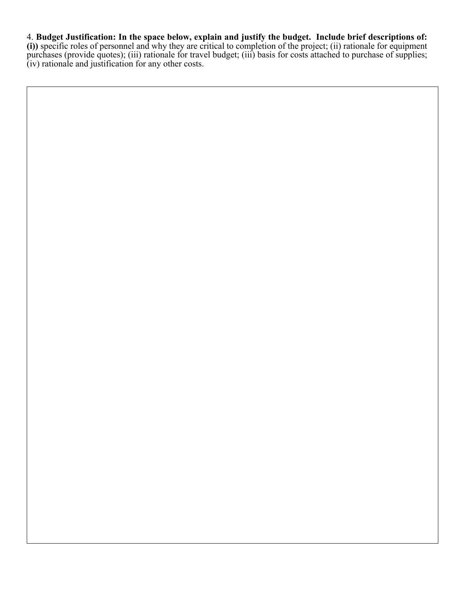## 4. **Budget Justification: In the space below, explain and justify the budget. Include brief descriptions of:**

**(i))** specific roles of personnel and why they are critical to completion of the project; (ii) rationale for equipment purchases (provide quotes); (iii) rationale for travel budget; (iii) basis for costs attached to purchase of supplies; (iv) rationale and justification for any other costs.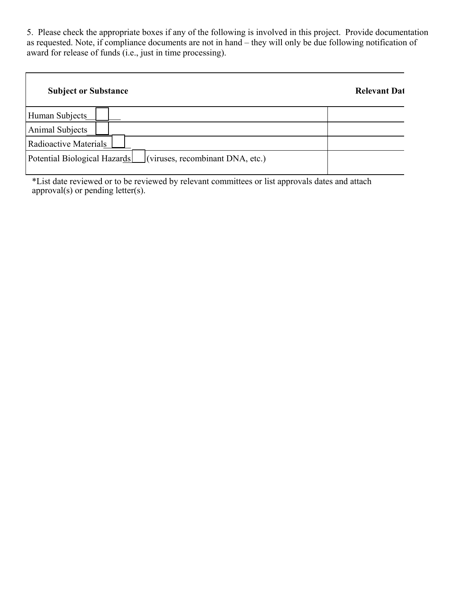5. Please check the appropriate boxes if any of the following is involved in this project. Provide documentation as requested. Note, if compliance documents are not in hand – they will only be due following notification of award for release of funds (i.e., just in time processing).

| <b>Subject or Substance</b>                                              | <b>Relevant Dat</b> |
|--------------------------------------------------------------------------|---------------------|
| Human Subjects                                                           |                     |
| Animal Subjects                                                          |                     |
| Radioactive Materials                                                    |                     |
| $\vert$ (viruses, recombinant DNA, etc.)<br>Potential Biological Hazards |                     |

\*List date reviewed or to be reviewed by relevant committees or list approvals dates and attach approval(s) or pending letter(s).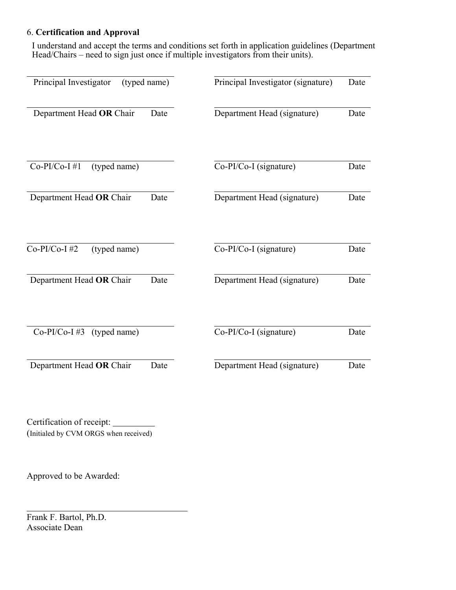## 6. **Certification and Approval**

I understand and accept the terms and conditions set forth in application guidelines (Department Head/Chairs – need to sign just once if multiple investigators from their units).

| Principal Investigator          | (typed name) | Principal Investigator (signature) | Date |
|---------------------------------|--------------|------------------------------------|------|
| Department Head OR Chair        | Date         | Department Head (signature)        | Date |
| $Co-PI/Co-I$ #1<br>(typed name) |              | Co-PI/Co-I (signature)             | Date |
| Department Head OR Chair        | Date         | Department Head (signature)        | Date |
| $Co-PI/Co-I$ #2<br>(typed name) |              | Co-PI/Co-I (signature)             | Date |
| Department Head OR Chair        | Date         | Department Head (signature)        | Date |
| $Co-PI/Co-I$ #3<br>(typed name) |              | Co-PI/Co-I (signature)             | Date |
| Department Head OR Chair        | Date         | Department Head (signature)        | Date |

Certification of receipt: (Initialed by CVM ORGS when received)

Approved to be Awarded:

Frank F. Bartol, Ph.D. Associate Dean

 $\overline{a}$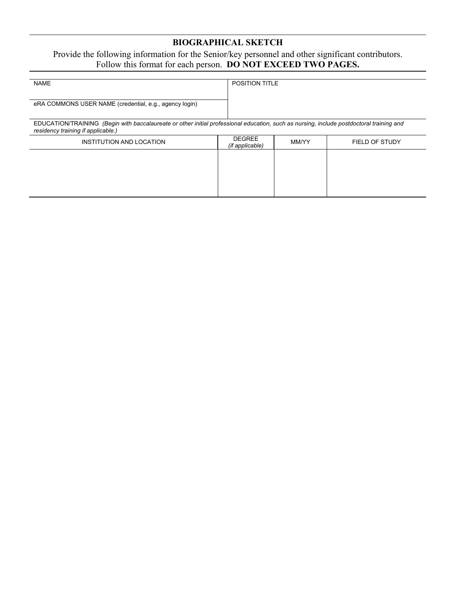# **BIOGRAPHICAL SKETCH**

#### Provide the following information for the Senior/key personnel and other significant contributors. Follow this format for each person. **DO NOT EXCEED TWO PAGES.**

| <b>NAME</b>                                                                                                                                                                    | <b>POSITION TITLE</b>            |       |                |
|--------------------------------------------------------------------------------------------------------------------------------------------------------------------------------|----------------------------------|-------|----------------|
| eRA COMMONS USER NAME (credential, e.g., agency login)                                                                                                                         |                                  |       |                |
| EDUCATION/TRAINING (Begin with baccalaureate or other initial professional education, such as nursing, include postdoctoral training and<br>residency training if applicable.) |                                  |       |                |
| INSTITUTION AND LOCATION                                                                                                                                                       | <b>DEGREE</b><br>(if applicable) | MM/YY | FIELD OF STUDY |
|                                                                                                                                                                                |                                  |       |                |
|                                                                                                                                                                                |                                  |       |                |
|                                                                                                                                                                                |                                  |       |                |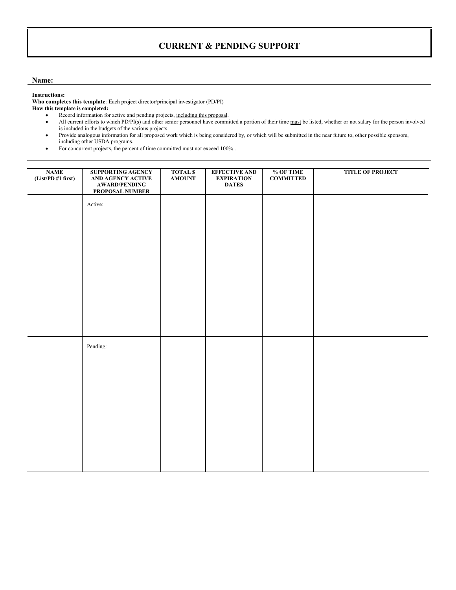### **CURRENT & PENDING SUPPORT**

#### **Name:**

#### **Instructions:**

**Who completes this template**: Each project director/principal investigator (PD/PI) **How this template is completed:** 

- Record information for active and pending projects, including this proposal.
- All current efforts to which PD/PI(s) and other senior personnel have committed a portion of their time must be listed, whether or not salary for the person involved is included in the budgets of the various projects.
- Provide analogous information for all proposed work which is being considered by, or which will be submitted in the near future to, other possible sponsors, including other USDA programs.
- For concurrent projects, the percent of time committed must not exceed 100%..

| <b>NAME</b><br>(List/PD #1 first) | <b>SUPPORTING AGENCY</b><br>AND AGENCY ACTIVE<br><b>AWARD/PENDING</b><br>PROPOSAL NUMBER | <b>TOTAL \$</b><br><b>AMOUNT</b> | <b>EFFECTIVE AND</b><br><b>EXPIRATION</b><br><b>DATES</b> | % OF TIME<br><b>COMMITTED</b> | <b>TITLE OF PROJECT</b> |
|-----------------------------------|------------------------------------------------------------------------------------------|----------------------------------|-----------------------------------------------------------|-------------------------------|-------------------------|
|                                   | Active:                                                                                  |                                  |                                                           |                               |                         |
|                                   |                                                                                          |                                  |                                                           |                               |                         |
|                                   |                                                                                          |                                  |                                                           |                               |                         |
|                                   |                                                                                          |                                  |                                                           |                               |                         |
|                                   |                                                                                          |                                  |                                                           |                               |                         |
|                                   |                                                                                          |                                  |                                                           |                               |                         |
|                                   | Pending:                                                                                 |                                  |                                                           |                               |                         |
|                                   |                                                                                          |                                  |                                                           |                               |                         |
|                                   |                                                                                          |                                  |                                                           |                               |                         |
|                                   |                                                                                          |                                  |                                                           |                               |                         |
|                                   |                                                                                          |                                  |                                                           |                               |                         |
|                                   |                                                                                          |                                  |                                                           |                               |                         |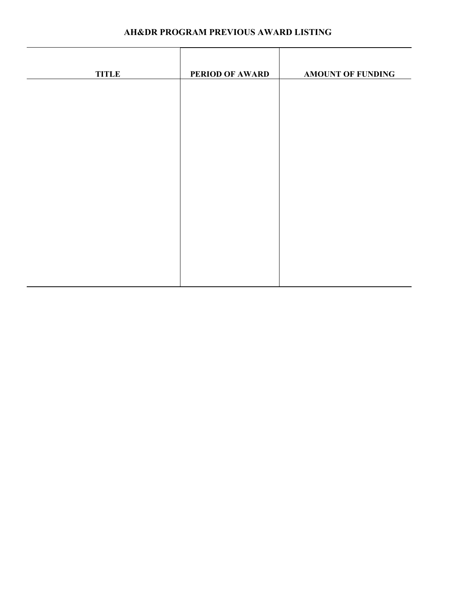| AH&DR PROGRAM PREVIOUS AWARD LISTING |  |
|--------------------------------------|--|
|--------------------------------------|--|

| <b>TITLE</b> | <b>PERIOD OF AWARD</b> | <b>AMOUNT OF FUNDING</b> |
|--------------|------------------------|--------------------------|
|              |                        |                          |
|              |                        |                          |
|              |                        |                          |
|              |                        |                          |
|              |                        |                          |
|              |                        |                          |
|              |                        |                          |